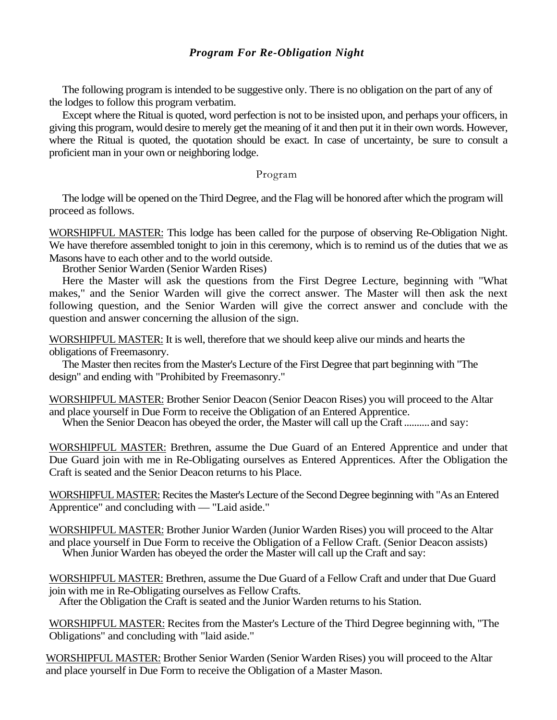## *Program For Re-Obligation Night*

The following program is intended to be suggestive only. There is no obligation on the part of any of the lodges to follow this program verbatim.

Except where the Ritual is quoted, word perfection is not to be insisted upon, and perhaps your officers, in giving this program, would desire to merely get the meaning of it and then put it in their own words. However, where the Ritual is quoted, the quotation should be exact. In case of uncertainty, be sure to consult a proficient man in your own or neighboring lodge.

## Program

The lodge will be opened on the Third Degree, and the Flag will be honored after which the program will proceed as follows.

WORSHIPFUL MASTER: This lodge has been called for the purpose of observing Re-Obligation Night. We have therefore assembled tonight to join in this ceremony, which is to remind us of the duties that we as Masons have to each other and to the world outside.

Brother Senior Warden (Senior Warden Rises)

Here the Master will ask the questions from the First Degree Lecture, beginning with "What makes," and the Senior Warden will give the correct answer. The Master will then ask the next following question, and the Senior Warden will give the correct answer and conclude with the question and answer concerning the allusion of the sign.

WORSHIPFUL MASTER: It is well, therefore that we should keep alive our minds and hearts the obligations of Freemasonry.

The Master then recites from the Master's Lecture of the First Degree that part beginning with "The design" and ending with "Prohibited by Freemasonry."

WORSHIPFUL MASTER: Brother Senior Deacon (Senior Deacon Rises) you will proceed to the Altar and place yourself in Due Form to receive the Obligation of an Entered Apprentice.

When the Senior Deacon has obeyed the order, the Master will call up the Craft .......... and say:

WORSHIPFUL MASTER: Brethren, assume the Due Guard of an Entered Apprentice and under that Due Guard join with me in Re-Obligating ourselves as Entered Apprentices. After the Obligation the Craft is seated and the Senior Deacon returns to his Place.

WORSHIPFUL MASTER: Recites the Master's Lecture of the Second Degree beginning with "As an Entered Apprentice" and concluding with — "Laid aside."

WORSHIPFUL MASTER: Brother Junior Warden (Junior Warden Rises) you will proceed to the Altar and place yourself in Due Form to receive the Obligation of a Fellow Craft. (Senior Deacon assists) When Junior Warden has obeyed the order the Master will call up the Craft and say:

WORSHIPFUL MASTER: Brethren, assume the Due Guard of a Fellow Craft and under that Due Guard join with me in Re-Obligating ourselves as Fellow Crafts.

After the Obligation the Craft is seated and the Junior Warden returns to his Station.

WORSHIPFUL MASTER: Recites from the Master's Lecture of the Third Degree beginning with, "The Obligations" and concluding with "laid aside."

WORSHIPFUL MASTER: Brother Senior Warden (Senior Warden Rises) you will proceed to the Altar and place yourself in Due Form to receive the Obligation of a Master Mason.